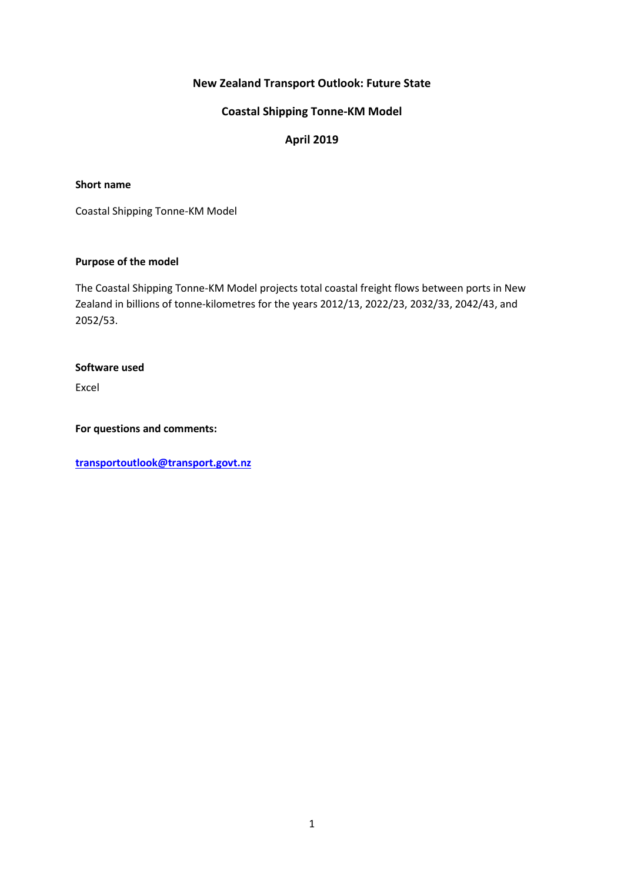## **New Zealand Transport Outlook: Future State**

## **Coastal Shipping Tonne-KM Model**

## **April 2019**

#### **Short name**

Coastal Shipping Tonne-KM Model

### **Purpose of the model**

The Coastal Shipping Tonne-KM Model projects total coastal freight flows between ports in New Zealand in billions of tonne-kilometres for the years 2012/13, 2022/23, 2032/33, 2042/43, and 2052/53.

#### **Software used**

Excel

**For questions and comments:** 

**[transportoutlook@transport.govt.nz](mailto:transportoutlook@transport.govt.nz)**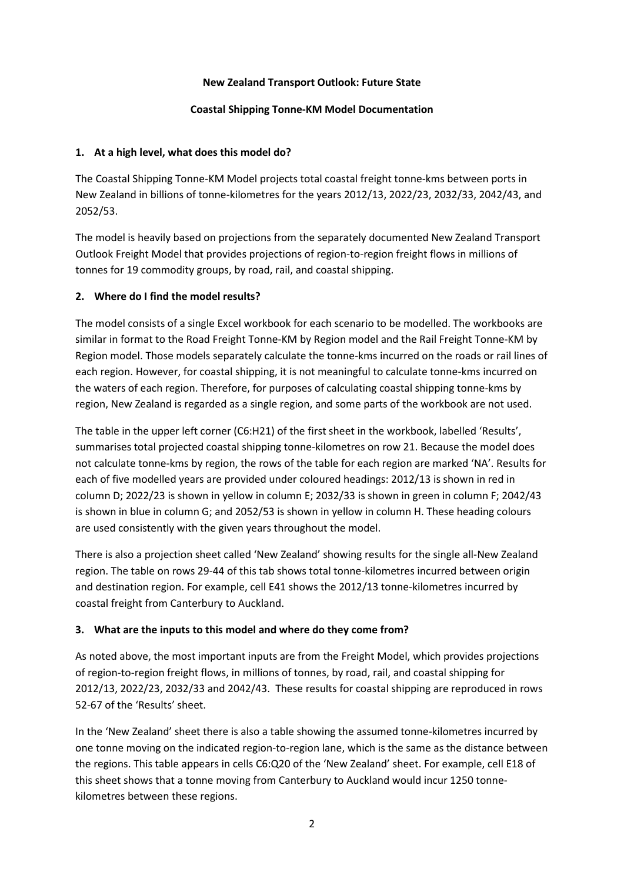### **New Zealand Transport Outlook: Future State**

#### **Coastal Shipping Tonne-KM Model Documentation**

### **1. At a high level, what does this model do?**

The Coastal Shipping Tonne-KM Model projects total coastal freight tonne-kms between ports in New Zealand in billions of tonne-kilometres for the years 2012/13, 2022/23, 2032/33, 2042/43, and 2052/53.

The model is heavily based on projections from the separately documented New Zealand Transport Outlook Freight Model that provides projections of region-to-region freight flows in millions of tonnes for 19 commodity groups, by road, rail, and coastal shipping.

## **2. Where do I find the model results?**

The model consists of a single Excel workbook for each scenario to be modelled. The workbooks are similar in format to the Road Freight Tonne-KM by Region model and the Rail Freight Tonne-KM by Region model. Those models separately calculate the tonne-kms incurred on the roads or rail lines of each region. However, for coastal shipping, it is not meaningful to calculate tonne-kms incurred on the waters of each region. Therefore, for purposes of calculating coastal shipping tonne-kms by region, New Zealand is regarded as a single region, and some parts of the workbook are not used.

The table in the upper left corner (C6:H21) of the first sheet in the workbook, labelled 'Results', summarises total projected coastal shipping tonne-kilometres on row 21. Because the model does not calculate tonne-kms by region, the rows of the table for each region are marked 'NA'. Results for each of five modelled years are provided under coloured headings: 2012/13 is shown in red in column D; 2022/23 is shown in yellow in column E; 2032/33 is shown in green in column F; 2042/43 is shown in blue in column G; and 2052/53 is shown in yellow in column H. These heading colours are used consistently with the given years throughout the model.

There is also a projection sheet called 'New Zealand' showing results for the single all-New Zealand region. The table on rows 29-44 of this tab shows total tonne-kilometres incurred between origin and destination region. For example, cell E41 shows the 2012/13 tonne-kilometres incurred by coastal freight from Canterbury to Auckland.

## **3. What are the inputs to this model and where do they come from?**

As noted above, the most important inputs are from the Freight Model, which provides projections of region-to-region freight flows, in millions of tonnes, by road, rail, and coastal shipping for 2012/13, 2022/23, 2032/33 and 2042/43. These results for coastal shipping are reproduced in rows 52-67 of the 'Results' sheet.

In the 'New Zealand' sheet there is also a table showing the assumed tonne-kilometres incurred by one tonne moving on the indicated region-to-region lane, which is the same as the distance between the regions. This table appears in cells C6:Q20 of the 'New Zealand' sheet. For example, cell E18 of this sheet shows that a tonne moving from Canterbury to Auckland would incur 1250 tonnekilometres between these regions.